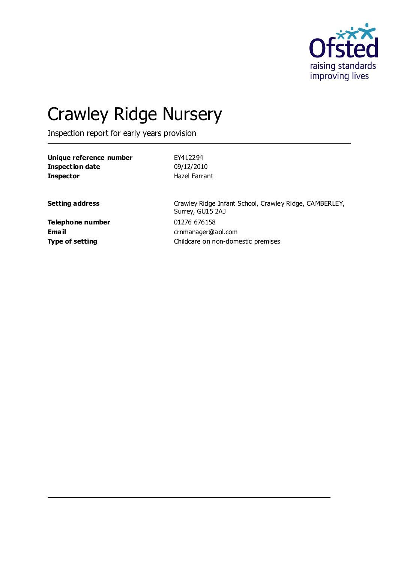

# Crawley Ridge Nursery

Inspection report for early years provision

| Unique reference number | EY412294                                                                   |
|-------------------------|----------------------------------------------------------------------------|
| <b>Inspection date</b>  | 09/12/2010                                                                 |
| <b>Inspector</b>        | Hazel Farrant                                                              |
| <b>Setting address</b>  | Crawley Ridge Infant School, Crawley Ridge, CAMBERLEY,<br>Surrey, GU15 2AJ |

**Telephone number** 01276 676158 **Email** crnmanager@aol.com **Type of setting Childcare on non-domestic premises**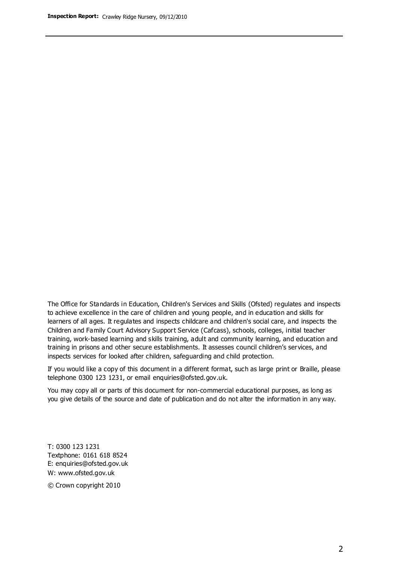The Office for Standards in Education, Children's Services and Skills (Ofsted) regulates and inspects to achieve excellence in the care of children and young people, and in education and skills for learners of all ages. It regulates and inspects childcare and children's social care, and inspects the Children and Family Court Advisory Support Service (Cafcass), schools, colleges, initial teacher training, work-based learning and skills training, adult and community learning, and education and training in prisons and other secure establishments. It assesses council children's services, and inspects services for looked after children, safeguarding and child protection.

If you would like a copy of this document in a different format, such as large print or Braille, please telephone 0300 123 1231, or email enquiries@ofsted.gov.uk.

You may copy all or parts of this document for non-commercial educational purposes, as long as you give details of the source and date of publication and do not alter the information in any way.

T: 0300 123 1231 Textphone: 0161 618 8524 E: enquiries@ofsted.gov.uk W: [www.ofsted.gov.uk](http://www.ofsted.gov.uk/)

© Crown copyright 2010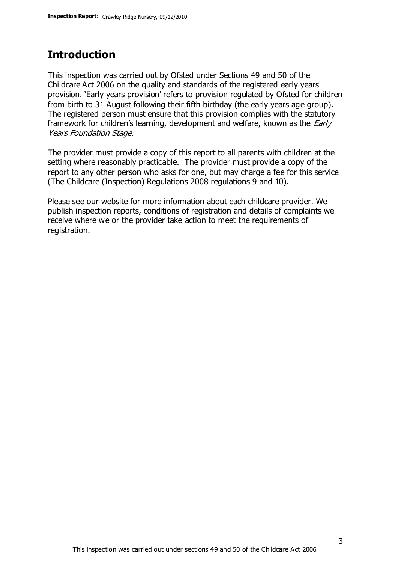## **Introduction**

This inspection was carried out by Ofsted under Sections 49 and 50 of the Childcare Act 2006 on the quality and standards of the registered early years provision. 'Early years provision' refers to provision regulated by Ofsted for children from birth to 31 August following their fifth birthday (the early years age group). The registered person must ensure that this provision complies with the statutory framework for children's learning, development and welfare, known as the *Early* Years Foundation Stage.

The provider must provide a copy of this report to all parents with children at the setting where reasonably practicable. The provider must provide a copy of the report to any other person who asks for one, but may charge a fee for this service (The Childcare (Inspection) Regulations 2008 regulations 9 and 10).

Please see our website for more information about each childcare provider. We publish inspection reports, conditions of registration and details of complaints we receive where we or the provider take action to meet the requirements of registration.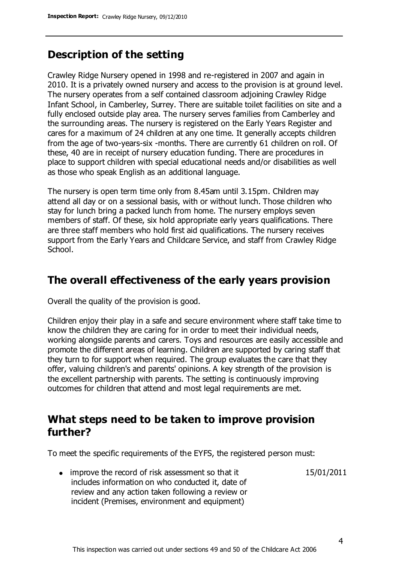# **Description of the setting**

Crawley Ridge Nursery opened in 1998 and re-registered in 2007 and again in 2010. It is a privately owned nursery and access to the provision is at ground level. The nursery operates from a self contained classroom adjoining Crawley Ridge Infant School, in Camberley, Surrey. There are suitable toilet facilities on site and a fully enclosed outside play area. The nursery serves families from Camberley and the surrounding areas. The nursery is registered on the Early Years Register and cares for a maximum of 24 children at any one time. It generally accepts children from the age of two-years-six -months. There are currently 61 children on roll. Of these, 40 are in receipt of nursery education funding. There are procedures in place to support children with special educational needs and/or disabilities as well as those who speak English as an additional language.

The nursery is open term time only from 8.45am until 3.15pm. Children may attend all day or on a sessional basis, with or without lunch. Those children who stay for lunch bring a packed lunch from home. The nursery employs seven members of staff. Of these, six hold appropriate early years qualifications. There are three staff members who hold first aid qualifications. The nursery receives support from the Early Years and Childcare Service, and staff from Crawley Ridge School.

## **The overall effectiveness of the early years provision**

Overall the quality of the provision is good.

Children enjoy their play in a safe and secure environment where staff take time to know the children they are caring for in order to meet their individual needs, working alongside parents and carers. Toys and resources are easily accessible and promote the different areas of learning. Children are supported by caring staff that they turn to for support when required. The group evaluates the care that they offer, valuing children's and parents' opinions. A key strength of the provision is the excellent partnership with parents. The setting is continuously improving outcomes for children that attend and most legal requirements are met.

## **What steps need to be taken to improve provision further?**

To meet the specific requirements of the EYFS, the registered person must:

15/01/2011

• improve the record of risk assessment so that it includes information on who conducted it, date of review and any action taken following a review or incident (Premises, environment and equipment)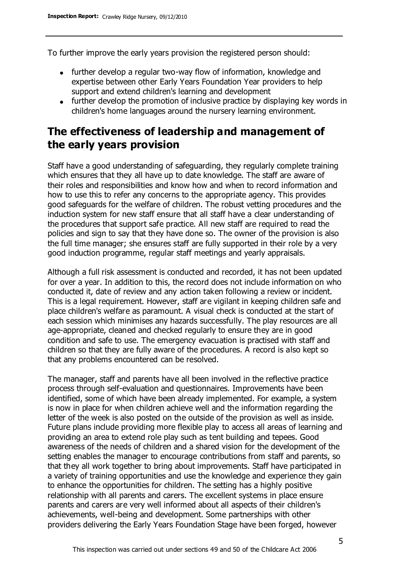To further improve the early years provision the registered person should:

- further develop a regular two-way flow of information, knowledge and expertise between other Early Years Foundation Year providers to help support and extend children's learning and development
- further develop the promotion of inclusive practice by displaying key words in children's home languages around the nursery learning environment.

# **The effectiveness of leadership and management of the early years provision**

Staff have a good understanding of safeguarding, they regularly complete training which ensures that they all have up to date knowledge. The staff are aware of their roles and responsibilities and know how and when to record information and how to use this to refer any concerns to the appropriate agency. This provides good safeguards for the welfare of children. The robust vetting procedures and the induction system for new staff ensure that all staff have a clear understanding of the procedures that support safe practice. All new staff are required to read the policies and sign to say that they have done so. The owner of the provision is also the full time manager; she ensures staff are fully supported in their role by a very good induction programme, regular staff meetings and yearly appraisals.

Although a full risk assessment is conducted and recorded, it has not been updated for over a year. In addition to this, the record does not include information on who conducted it, date of review and any action taken following a review or incident. This is a legal requirement. However, staff are vigilant in keeping children safe and place children's welfare as paramount. A visual check is conducted at the start of each session which minimises any hazards successfully. The play resources are all age-appropriate, cleaned and checked regularly to ensure they are in good condition and safe to use. The emergency evacuation is practised with staff and children so that they are fully aware of the procedures. A record is also kept so that any problems encountered can be resolved.

The manager, staff and parents have all been involved in the reflective practice process through self-evaluation and questionnaires. Improvements have been identified, some of which have been already implemented. For example, a system is now in place for when children achieve well and the information regarding the letter of the week is also posted on the outside of the provision as well as inside. Future plans include providing more flexible play to access all areas of learning and providing an area to extend role play such as tent building and tepees. Good awareness of the needs of children and a shared vision for the development of the setting enables the manager to encourage contributions from staff and parents, so that they all work together to bring about improvements. Staff have participated in a variety of training opportunities and use the knowledge and experience they gain to enhance the opportunities for children. The setting has a highly positive relationship with all parents and carers. The excellent systems in place ensure parents and carers are very well informed about all aspects of their children's achievements, well-being and development. Some partnerships with other providers delivering the Early Years Foundation Stage have been forged, however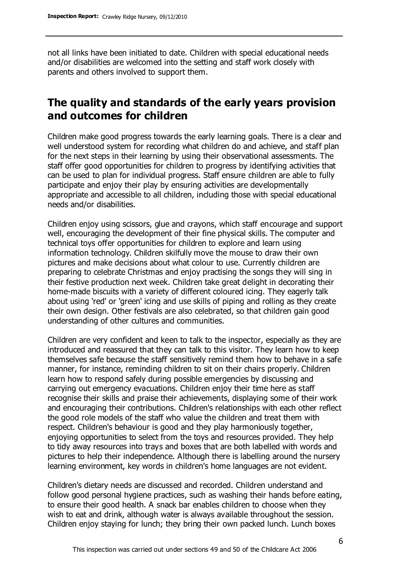not all links have been initiated to date. Children with special educational needs and/or disabilities are welcomed into the setting and staff work closely with parents and others involved to support them.

# **The quality and standards of the early years provision and outcomes for children**

Children make good progress towards the early learning goals. There is a clear and well understood system for recording what children do and achieve, and staff plan for the next steps in their learning by using their observational assessments. The staff offer good opportunities for children to progress by identifying activities that can be used to plan for individual progress. Staff ensure children are able to fully participate and enjoy their play by ensuring activities are developmentally appropriate and accessible to all children, including those with special educational needs and/or disabilities.

Children enjoy using scissors, glue and crayons, which staff encourage and support well, encouraging the development of their fine physical skills. The computer and technical toys offer opportunities for children to explore and learn using information technology. Children skilfully move the mouse to draw their own pictures and make decisions about what colour to use. Currently children are preparing to celebrate Christmas and enjoy practising the songs they will sing in their festive production next week. Children take great delight in decorating their home-made biscuits with a variety of different coloured icing. They eagerly talk about using 'red' or 'green' icing and use skills of piping and rolling as they create their own design. Other festivals are also celebrated, so that children gain good understanding of other cultures and communities.

Children are very confident and keen to talk to the inspector, especially as they are introduced and reassured that they can talk to this visitor. They learn how to keep themselves safe because the staff sensitively remind them how to behave in a safe manner, for instance, reminding children to sit on their chairs properly. Children learn how to respond safely during possible emergencies by discussing and carrying out emergency evacuations. Children enjoy their time here as staff recognise their skills and praise their achievements, displaying some of their work and encouraging their contributions. Children's relationships with each other reflect the good role models of the staff who value the children and treat them with respect. Children's behaviour is good and they play harmoniously together, enjoying opportunities to select from the toys and resources provided. They help to tidy away resources into trays and boxes that are both labelled with words and pictures to help their independence. Although there is labelling around the nursery learning environment, key words in children's home languages are not evident.

Children's dietary needs are discussed and recorded. Children understand and follow good personal hygiene practices, such as washing their hands before eating, to ensure their good health. A snack bar enables children to choose when they wish to eat and drink, although water is always available throughout the session. Children enjoy staying for lunch; they bring their own packed lunch. Lunch boxes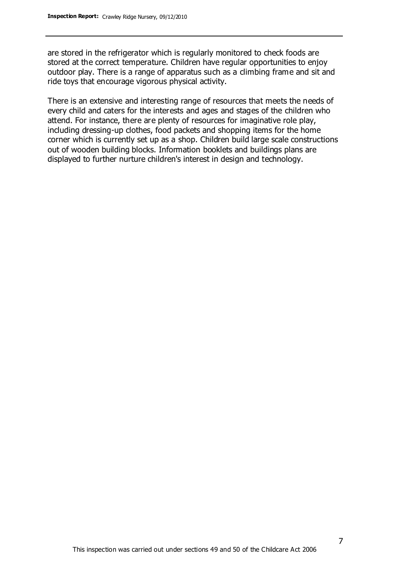are stored in the refrigerator which is regularly monitored to check foods are stored at the correct temperature. Children have regular opportunities to enjoy outdoor play. There is a range of apparatus such as a climbing frame and sit and ride toys that encourage vigorous physical activity.

There is an extensive and interesting range of resources that meets the needs of every child and caters for the interests and ages and stages of the children who attend. For instance, there are plenty of resources for imaginative role play, including dressing-up clothes, food packets and shopping items for the home corner which is currently set up as a shop. Children build large scale constructions out of wooden building blocks. Information booklets and buildings plans are displayed to further nurture children's interest in design and technology.